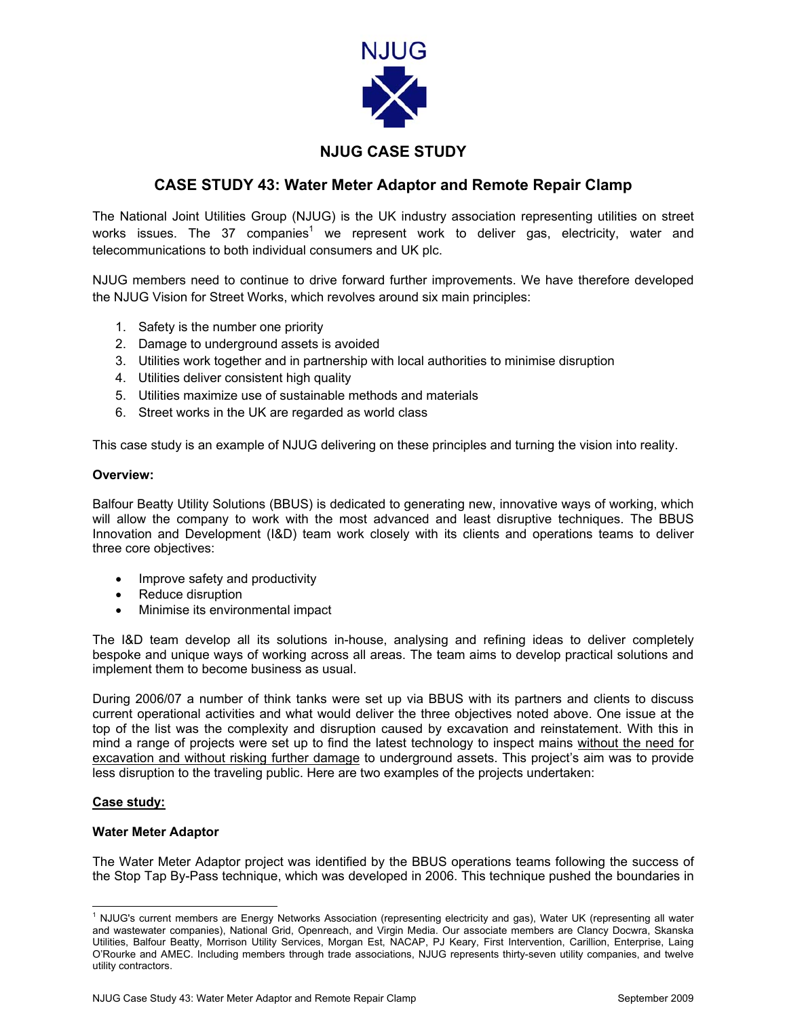

# **NJUG CASE STUDY**

## **CASE STUDY 43: Water Meter Adaptor and Remote Repair Clamp**

The National Joint Utilities Group (NJUG) is the UK industry association representing utilities on street works issues. The 37 companies<sup>[1](#page-0-0)</sup> we represent work to deliver gas, electricity, water and telecommunications to both individual consumers and UK plc.

NJUG members need to continue to drive forward further improvements. We have therefore developed the NJUG Vision for Street Works, which revolves around six main principles:

- 1. Safety is the number one priority
- 2. Damage to underground assets is avoided
- 3. Utilities work together and in partnership with local authorities to minimise disruption
- 4. Utilities deliver consistent high quality
- 5. Utilities maximize use of sustainable methods and materials
- 6. Street works in the UK are regarded as world class

This case study is an example of NJUG delivering on these principles and turning the vision into reality.

### **Overview:**

Balfour Beatty Utility Solutions (BBUS) is dedicated to generating new, innovative ways of working, which will allow the company to work with the most advanced and least disruptive techniques. The BBUS Innovation and Development (I&D) team work closely with its clients and operations teams to deliver three core objectives:

- Improve safety and productivity
- Reduce disruption
- Minimise its environmental impact

The I&D team develop all its solutions in-house, analysing and refining ideas to deliver completely bespoke and unique ways of working across all areas. The team aims to develop practical solutions and implement them to become business as usual.

During 2006/07 a number of think tanks were set up via BBUS with its partners and clients to discuss current operational activities and what would deliver the three objectives noted above. One issue at the top of the list was the complexity and disruption caused by excavation and reinstatement. With this in mind a range of projects were set up to find the latest technology to inspect mains without the need for excavation and without risking further damage to underground assets. This project's aim was to provide less disruption to the traveling public. Here are two examples of the projects undertaken:

### **Case study:**

### **Water Meter Adaptor**

The Water Meter Adaptor project was identified by the BBUS operations teams following the success of the Stop Tap By-Pass technique, which was developed in 2006. This technique pushed the boundaries in

<span id="page-0-0"></span> $\frac{1}{1}$  $1$  NJUG's current members are Energy Networks Association (representing electricity and gas), Water UK (representing all water and wastewater companies), National Grid, Openreach, and Virgin Media. Our associate members are Clancy Docwra, Skanska Utilities, Balfour Beatty, Morrison Utility Services, Morgan Est, NACAP, PJ Keary, First Intervention, Carillion, Enterprise, Laing O'Rourke and AMEC. Including members through trade associations, NJUG represents thirty-seven utility companies, and twelve utility contractors.